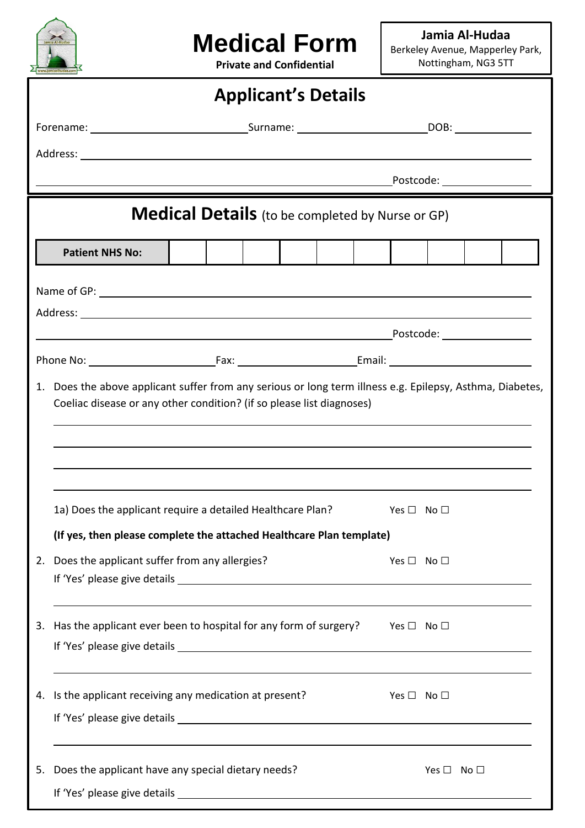

## **Medical Form**

**Jamia Al-Hudaa** Berkeley Avenue, Mapperley Park, Nottingham, NG3 5TT

**Private and Confidential**

| <b>Applicant's Details</b>                              |                                                                                                                                                                                                                                                  |                                                                                             |                                                                                              |                                                |                      |                      |  |  |  |  |  |  |
|---------------------------------------------------------|--------------------------------------------------------------------------------------------------------------------------------------------------------------------------------------------------------------------------------------------------|---------------------------------------------------------------------------------------------|----------------------------------------------------------------------------------------------|------------------------------------------------|----------------------|----------------------|--|--|--|--|--|--|
|                                                         |                                                                                                                                                                                                                                                  |                                                                                             |                                                                                              |                                                |                      |                      |  |  |  |  |  |  |
|                                                         |                                                                                                                                                                                                                                                  |                                                                                             |                                                                                              |                                                |                      |                      |  |  |  |  |  |  |
|                                                         |                                                                                                                                                                                                                                                  |                                                                                             | <b>Example 2018</b> Postcode:                                                                |                                                |                      |                      |  |  |  |  |  |  |
| <b>Medical Details</b> (to be completed by Nurse or GP) |                                                                                                                                                                                                                                                  |                                                                                             |                                                                                              |                                                |                      |                      |  |  |  |  |  |  |
|                                                         | <b>Patient NHS No:</b>                                                                                                                                                                                                                           |                                                                                             |                                                                                              |                                                |                      |                      |  |  |  |  |  |  |
|                                                         |                                                                                                                                                                                                                                                  |                                                                                             |                                                                                              |                                                |                      |                      |  |  |  |  |  |  |
|                                                         |                                                                                                                                                                                                                                                  |                                                                                             |                                                                                              |                                                |                      |                      |  |  |  |  |  |  |
|                                                         |                                                                                                                                                                                                                                                  |                                                                                             |                                                                                              |                                                |                      |                      |  |  |  |  |  |  |
|                                                         |                                                                                                                                                                                                                                                  |                                                                                             |                                                                                              |                                                |                      |                      |  |  |  |  |  |  |
|                                                         | 1. Does the above applicant suffer from any serious or long term illness e.g. Epilepsy, Asthma, Diabetes,<br>Coeliac disease or any other condition? (if so please list diagnoses)<br>1a) Does the applicant require a detailed Healthcare Plan? |                                                                                             |                                                                                              | $\mathsf{Yes} \ \Box \quad \mathsf{No} \ \Box$ |                      |                      |  |  |  |  |  |  |
|                                                         |                                                                                                                                                                                                                                                  |                                                                                             |                                                                                              |                                                |                      |                      |  |  |  |  |  |  |
|                                                         | 2. Does the applicant suffer from any allergies?                                                                                                                                                                                                 |                                                                                             | (If yes, then please complete the attached Healthcare Plan template)<br>Yes $\Box$ No $\Box$ |                                                |                      |                      |  |  |  |  |  |  |
|                                                         |                                                                                                                                                                                                                                                  | 3. Has the applicant ever been to hospital for any form of surgery?<br>Yes $\Box$ No $\Box$ |                                                                                              |                                                |                      |                      |  |  |  |  |  |  |
|                                                         | 4. Is the applicant receiving any medication at present?                                                                                                                                                                                         |                                                                                             |                                                                                              |                                                | Yes $\Box$ No $\Box$ |                      |  |  |  |  |  |  |
| 5.                                                      | Does the applicant have any special dietary needs?                                                                                                                                                                                               |                                                                                             |                                                                                              |                                                |                      | Yes $\Box$ No $\Box$ |  |  |  |  |  |  |